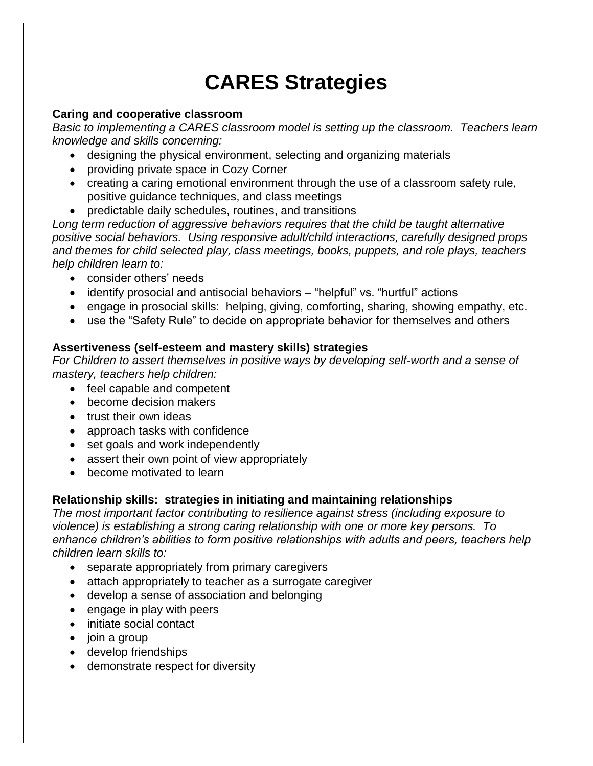# **CARES Strategies**

## **Caring and cooperative classroom**

*Basic to implementing a CARES classroom model is setting up the classroom. Teachers learn knowledge and skills concerning:* 

- designing the physical environment, selecting and organizing materials
- providing private space in Cozy Corner
- creating a caring emotional environment through the use of a classroom safety rule, positive guidance techniques, and class meetings
- predictable daily schedules, routines, and transitions

*Long term reduction of aggressive behaviors requires that the child be taught alternative positive social behaviors. Using responsive adult/child interactions, carefully designed props and themes for child selected play, class meetings, books, puppets, and role plays, teachers help children learn to:*

- consider others' needs
- identify prosocial and antisocial behaviors "helpful" vs. "hurtful" actions
- engage in prosocial skills: helping, giving, comforting, sharing, showing empathy, etc.
- use the "Safety Rule" to decide on appropriate behavior for themselves and others

## **Assertiveness (self-esteem and mastery skills) strategies**

*For Children to assert themselves in positive ways by developing self-worth and a sense of mastery, teachers help children:* 

- feel capable and competent
- become decision makers
- trust their own ideas
- approach tasks with confidence
- set goals and work independently
- assert their own point of view appropriately
- become motivated to learn

## **Relationship skills: strategies in initiating and maintaining relationships**

*The most important factor contributing to resilience against stress (including exposure to violence) is establishing a strong caring relationship with one or more key persons. To enhance children's abilities to form positive relationships with adults and peers, teachers help children learn skills to:*

- separate appropriately from primary caregivers
- attach appropriately to teacher as a surrogate caregiver
- develop a sense of association and belonging
- engage in play with peers
- initiate social contact
- join a group
- develop friendships
- demonstrate respect for diversity